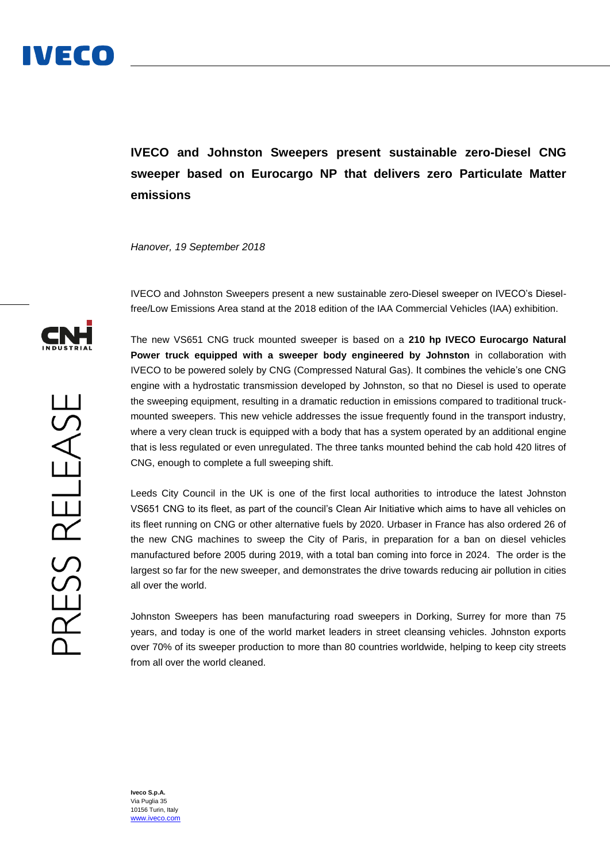**IVECO and Johnston Sweepers present sustainable zero-Diesel CNG sweeper based on Eurocargo NP that delivers zero Particulate Matter emissions** 

*Hanover, 19 September 2018*

IVECO and Johnston Sweepers present a new sustainable zero-Diesel sweeper on IVECO's Dieselfree/Low Emissions Area stand at the 2018 edition of the IAA Commercial Vehicles (IAA) exhibition.

The new VS651 CNG truck mounted sweeper is based on a **210 hp IVECO Eurocargo Natural Power truck equipped with a sweeper body engineered by Johnston** in collaboration with IVECO to be powered solely by CNG (Compressed Natural Gas). It combines the vehicle's one CNG engine with a hydrostatic transmission developed by Johnston, so that no Diesel is used to operate the sweeping equipment, resulting in a dramatic reduction in emissions compared to traditional truckmounted sweepers. This new vehicle addresses the issue frequently found in the transport industry, where a very clean truck is equipped with a body that has a system operated by an additional engine that is less regulated or even unregulated. The three tanks mounted behind the cab hold 420 litres of CNG, enough to complete a full sweeping shift.

Leeds City Council in the UK is one of the first local authorities to introduce the latest Johnston VS651 CNG to its fleet, as part of the council's Clean Air Initiative which aims to have all vehicles on its fleet running on CNG or other alternative fuels by 2020. Urbaser in France has also ordered 26 of the new CNG machines to sweep the City of Paris, in preparation for a ban on diesel vehicles manufactured before 2005 during 2019, with a total ban coming into force in 2024. The order is the largest so far for the new sweeper, and demonstrates the drive towards reducing air pollution in cities all over the world.

Johnston Sweepers has been manufacturing road sweepers in Dorking, Surrey for more than 75 years, and today is one of the world market leaders in street cleansing vehicles. Johnston exports over 70% of its sweeper production to more than 80 countries worldwide, helping to keep city streets from all over the world cleaned.



**Iveco S.p.A.** Via Puglia 35 10156 Turin, Italy [www.iveco.com](http://www.iveco.com/)